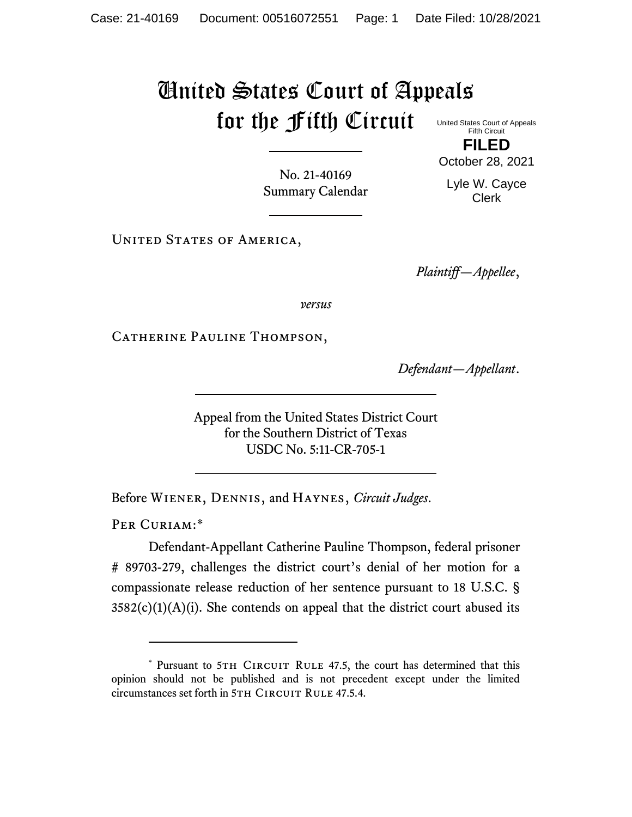## United States Court of Appeals for the Fifth Circuit United States Court of Appeals

Fifth Circuit **FILED**

No. 21-40169 Summary Calendar October 28, 2021 Lyle W. Cayce

Clerk

UNITED STATES OF AMERICA,

*Plaintiff—Appellee*,

*versus*

CATHERINE PAULINE THOMPSON,

*Defendant—Appellant*.

Appeal from the United States District Court for the Southern District of Texas USDC No. 5:11-CR-705-1

Before Wiener, Dennis, and Haynes, *Circuit Judges*.

PER CURIAM:\*

Defendant-Appellant Catherine Pauline Thompson, federal prisoner # 89703-279, challenges the district court's denial of her motion for a compassionate release reduction of her sentence pursuant to 18 U.S.C. §  $3582(c)(1)(A)(i)$ . She contends on appeal that the district court abused its

<sup>\*</sup> Pursuant to 5TH CIRCUIT RULE 47.5, the court has determined that this opinion should not be published and is not precedent except under the limited circumstances set forth in 5TH CIRCUIT RULE 47.5.4.